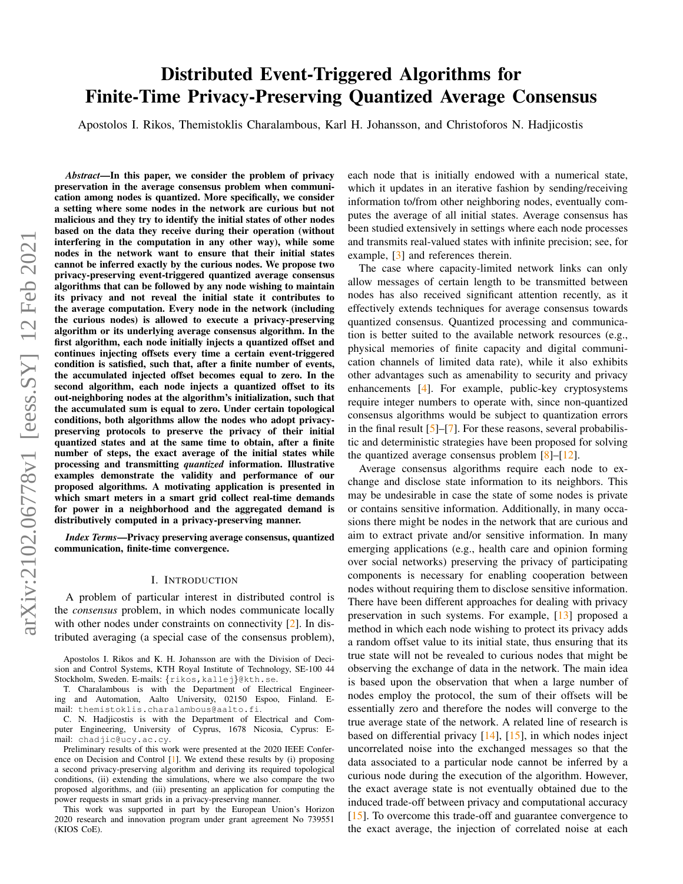# arXiv:2102.06778v1 [eess.SY] 12 Feb 2021 arXiv:2102.06778v1 [eess.SY] 12 Feb 2021

# Distributed Event-Triggered Algorithms for Finite-Time Privacy-Preserving Quantized Average Consensus

Apostolos I. Rikos, Themistoklis Charalambous, Karl H. Johansson, and Christoforos N. Hadjicostis

*Abstract*—In this paper, we consider the problem of privacy preservation in the average consensus problem when communication among nodes is quantized. More specifically, we consider a setting where some nodes in the network are curious but not malicious and they try to identify the initial states of other nodes based on the data they receive during their operation (without interfering in the computation in any other way), while some nodes in the network want to ensure that their initial states cannot be inferred exactly by the curious nodes. We propose two privacy-preserving event-triggered quantized average consensus algorithms that can be followed by any node wishing to maintain its privacy and not reveal the initial state it contributes to the average computation. Every node in the network (including the curious nodes) is allowed to execute a privacy-preserving algorithm or its underlying average consensus algorithm. In the first algorithm, each node initially injects a quantized offset and continues injecting offsets every time a certain event-triggered condition is satisfied, such that, after a finite number of events, the accumulated injected offset becomes equal to zero. In the second algorithm, each node injects a quantized offset to its out-neighboring nodes at the algorithm's initialization, such that the accumulated sum is equal to zero. Under certain topological conditions, both algorithms allow the nodes who adopt privacypreserving protocols to preserve the privacy of their initial quantized states and at the same time to obtain, after a finite number of steps, the exact average of the initial states while processing and transmitting *quantized* information. Illustrative examples demonstrate the validity and performance of our proposed algorithms. A motivating application is presented in which smart meters in a smart grid collect real-time demands for power in a neighborhood and the aggregated demand is distributively computed in a privacy-preserving manner.

*Index Terms*—Privacy preserving average consensus, quantized communication, finite-time convergence.

#### I. INTRODUCTION

A problem of particular interest in distributed control is the *consensus* problem, in which nodes communicate locally with other nodes under constraints on connectivity [\[2\]](#page-9-0). In distributed averaging (a special case of the consensus problem),

Apostolos I. Rikos and K. H. Johansson are with the Division of Decision and Control Systems, KTH Royal Institute of Technology, SE-100 44 Stockholm, Sweden. E-mails: {rikos, kallej}@kth.se.

T. Charalambous is with the Department of Electrical Engineering and Automation, Aalto University, 02150 Espoo, Finland. Email: themistoklis.charalambous@aalto.fi.

C. N. Hadjicostis is with the Department of Electrical and Computer Engineering, University of Cyprus, 1678 Nicosia, Cyprus: Email: chadjic@ucy.ac.cy.

Preliminary results of this work were presented at the 2020 IEEE Conference on Decision and Control [\[1\]](#page-9-1). We extend these results by (i) proposing a second privacy-preserving algorithm and deriving its required topological conditions, (ii) extending the simulations, where we also compare the two proposed algorithms, and (iii) presenting an application for computing the power requests in smart grids in a privacy-preserving manner.

This work was supported in part by the European Union's Horizon 2020 research and innovation program under grant agreement No 739551 (KIOS CoE).

each node that is initially endowed with a numerical state, which it updates in an iterative fashion by sending/receiving information to/from other neighboring nodes, eventually computes the average of all initial states. Average consensus has been studied extensively in settings where each node processes and transmits real-valued states with infinite precision; see, for example, [\[3\]](#page-9-2) and references therein.

The case where capacity-limited network links can only allow messages of certain length to be transmitted between nodes has also received significant attention recently, as it effectively extends techniques for average consensus towards quantized consensus. Quantized processing and communication is better suited to the available network resources (e.g., physical memories of finite capacity and digital communication channels of limited data rate), while it also exhibits other advantages such as amenability to security and privacy enhancements [\[4\]](#page-9-3). For example, public-key cryptosystems require integer numbers to operate with, since non-quantized consensus algorithms would be subject to quantization errors in the final result  $[5]-[7]$  $[5]-[7]$  $[5]-[7]$ . For these reasons, several probabilistic and deterministic strategies have been proposed for solving the quantized average consensus problem  $[8]$ – $[12]$ .

Average consensus algorithms require each node to exchange and disclose state information to its neighbors. This may be undesirable in case the state of some nodes is private or contains sensitive information. Additionally, in many occasions there might be nodes in the network that are curious and aim to extract private and/or sensitive information. In many emerging applications (e.g., health care and opinion forming over social networks) preserving the privacy of participating components is necessary for enabling cooperation between nodes without requiring them to disclose sensitive information. There have been different approaches for dealing with privacy preservation in such systems. For example, [\[13\]](#page-9-8) proposed a method in which each node wishing to protect its privacy adds a random offset value to its initial state, thus ensuring that its true state will not be revealed to curious nodes that might be observing the exchange of data in the network. The main idea is based upon the observation that when a large number of nodes employ the protocol, the sum of their offsets will be essentially zero and therefore the nodes will converge to the true average state of the network. A related line of research is based on differential privacy [\[14\]](#page-9-9), [\[15\]](#page-9-10), in which nodes inject uncorrelated noise into the exchanged messages so that the data associated to a particular node cannot be inferred by a curious node during the execution of the algorithm. However, the exact average state is not eventually obtained due to the induced trade-off between privacy and computational accuracy [\[15\]](#page-9-10). To overcome this trade-off and guarantee convergence to the exact average, the injection of correlated noise at each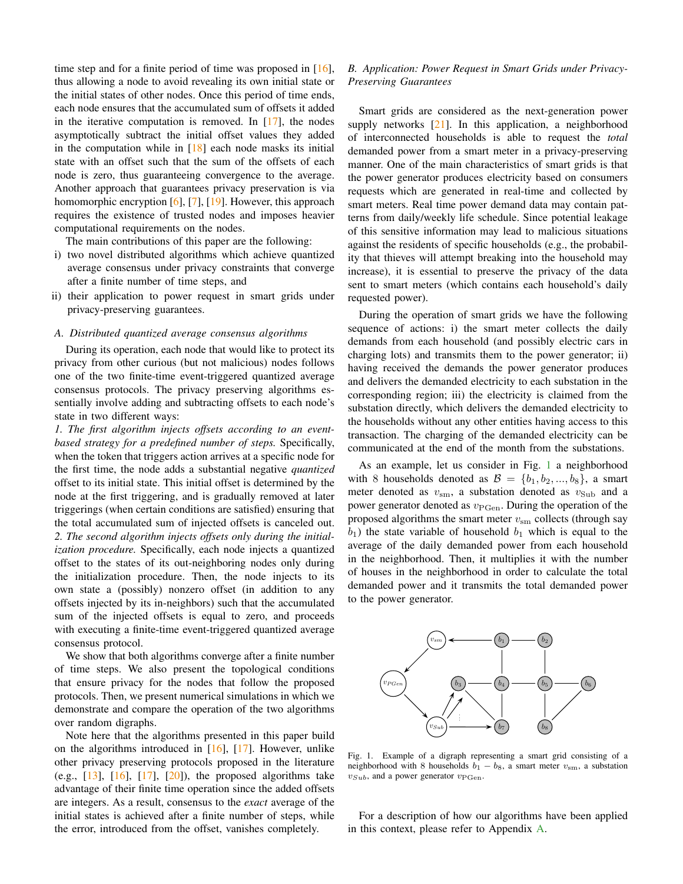time step and for a finite period of time was proposed in [\[16\]](#page-9-11), thus allowing a node to avoid revealing its own initial state or the initial states of other nodes. Once this period of time ends, each node ensures that the accumulated sum of offsets it added in the iterative computation is removed. In  $[17]$ , the nodes asymptotically subtract the initial offset values they added in the computation while in  $[18]$  each node masks its initial state with an offset such that the sum of the offsets of each node is zero, thus guaranteeing convergence to the average. Another approach that guarantees privacy preservation is via homomorphic encryption [\[6\]](#page-9-14), [\[7\]](#page-9-5), [\[19\]](#page-9-15). However, this approach requires the existence of trusted nodes and imposes heavier computational requirements on the nodes.

The main contributions of this paper are the following:

- i) two novel distributed algorithms which achieve quantized average consensus under privacy constraints that converge after a finite number of time steps, and
- ii) their application to power request in smart grids under privacy-preserving guarantees.

#### *A. Distributed quantized average consensus algorithms*

During its operation, each node that would like to protect its privacy from other curious (but not malicious) nodes follows one of the two finite-time event-triggered quantized average consensus protocols. The privacy preserving algorithms essentially involve adding and subtracting offsets to each node's state in two different ways:

*1. The first algorithm injects offsets according to an eventbased strategy for a predefined number of steps.* Specifically, when the token that triggers action arrives at a specific node for the first time, the node adds a substantial negative *quantized* offset to its initial state. This initial offset is determined by the node at the first triggering, and is gradually removed at later triggerings (when certain conditions are satisfied) ensuring that the total accumulated sum of injected offsets is canceled out. *2. The second algorithm injects offsets only during the initialization procedure.* Specifically, each node injects a quantized offset to the states of its out-neighboring nodes only during the initialization procedure. Then, the node injects to its own state a (possibly) nonzero offset (in addition to any offsets injected by its in-neighbors) such that the accumulated sum of the injected offsets is equal to zero, and proceeds with executing a finite-time event-triggered quantized average consensus protocol.

We show that both algorithms converge after a finite number of time steps. We also present the topological conditions that ensure privacy for the nodes that follow the proposed protocols. Then, we present numerical simulations in which we demonstrate and compare the operation of the two algorithms over random digraphs.

Note here that the algorithms presented in this paper build on the algorithms introduced in [\[16\]](#page-9-11), [\[17\]](#page-9-12). However, unlike other privacy preserving protocols proposed in the literature (e.g.,  $[13]$ ,  $[16]$ ,  $[17]$ ,  $[20]$ ), the proposed algorithms take advantage of their finite time operation since the added offsets are integers. As a result, consensus to the *exact* average of the initial states is achieved after a finite number of steps, while the error, introduced from the offset, vanishes completely.

# <span id="page-1-1"></span>*B. Application: Power Request in Smart Grids under Privacy-Preserving Guarantees*

Smart grids are considered as the next-generation power supply networks [\[21\]](#page-9-17). In this application, a neighborhood of interconnected households is able to request the *total* demanded power from a smart meter in a privacy-preserving manner. One of the main characteristics of smart grids is that the power generator produces electricity based on consumers requests which are generated in real-time and collected by smart meters. Real time power demand data may contain patterns from daily/weekly life schedule. Since potential leakage of this sensitive information may lead to malicious situations against the residents of specific households (e.g., the probability that thieves will attempt breaking into the household may increase), it is essential to preserve the privacy of the data sent to smart meters (which contains each household's daily requested power).

During the operation of smart grids we have the following sequence of actions: i) the smart meter collects the daily demands from each household (and possibly electric cars in charging lots) and transmits them to the power generator; ii) having received the demands the power generator produces and delivers the demanded electricity to each substation in the corresponding region; iii) the electricity is claimed from the substation directly, which delivers the demanded electricity to the households without any other entities having access to this transaction. The charging of the demanded electricity can be communicated at the end of the month from the substations.

As an example, let us consider in Fig. [1](#page-1-0) a neighborhood with 8 households denoted as  $\mathcal{B} = \{b_1, b_2, ..., b_8\}$ , a smart meter denoted as  $v_{\rm sm}$ , a substation denoted as  $v_{\rm Sub}$  and a power generator denoted as  $v_{\text{PGen}}$ . During the operation of the proposed algorithms the smart meter  $v_{\rm sm}$  collects (through say  $b_1$ ) the state variable of household  $b_1$  which is equal to the average of the daily demanded power from each household in the neighborhood. Then, it multiplies it with the number of houses in the neighborhood in order to calculate the total demanded power and it transmits the total demanded power to the power generator.



<span id="page-1-0"></span>Fig. 1. Example of a digraph representing a smart grid consisting of a neighborhood with 8 households  $\vec{b_1} - \vec{b_8}$ , a smart meter  $v_{\rm sm}$ , a substation  $v_{Sub}$ , and a power generator  $v_{PGen}$ .

For a description of how our algorithms have been applied in this context, please refer to Appendix [A.](#page-9-18)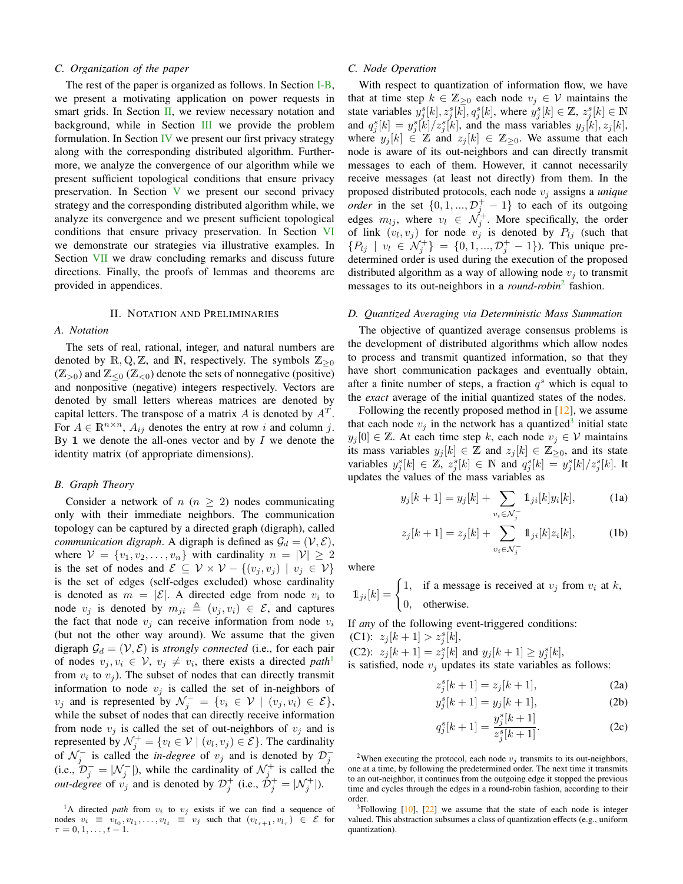#### *C. Organization of the paper*

The rest of the paper is organized as follows. In Section [I-B,](#page-1-1) we present a motivating application on power requests in smart grids. In Section [II,](#page-2-0) we review necessary notation and background, while in Section [III](#page-3-0) we provide the problem formulation. In Section [IV](#page-3-1) we present our first privacy strategy along with the corresponding distributed algorithm. Furthermore, we analyze the convergence of our algorithm while we present sufficient topological conditions that ensure privacy preservation. In Section [V](#page-6-0) we present our second privacy strategy and the corresponding distributed algorithm while, we analyze its convergence and we present sufficient topological conditions that ensure privacy preservation. In Section [VI](#page-7-0) we demonstrate our strategies via illustrative examples. In Section [VII](#page-9-19) we draw concluding remarks and discuss future directions. Finally, the proofs of lemmas and theorems are provided in appendices.

#### II. NOTATION AND PRELIMINARIES

# <span id="page-2-0"></span>*A. Notation*

The sets of real, rational, integer, and natural numbers are denoted by  $\mathbb{R}, \mathbb{Q}, \mathbb{Z}$ , and  $\mathbb{N}$ , respectively. The symbols  $\mathbb{Z}_{\geq 0}$  $(\mathbb{Z}_{>0})$  and  $\mathbb{Z}_{\leq 0}$   $(\mathbb{Z}_{\leq 0})$  denote the sets of nonnegative (positive) and nonpositive (negative) integers respectively. Vectors are denoted by small letters whereas matrices are denoted by capital letters. The transpose of a matrix A is denoted by  $A<sup>T</sup>$ . For  $A \in \mathbb{R}^{n \times n}$ ,  $A_{ij}$  denotes the entry at row i and column j. By 1 we denote the all-ones vector and by  $I$  we denote the identity matrix (of appropriate dimensions).

#### *B. Graph Theory*

Consider a network of  $n (n \geq 2)$  nodes communicating only with their immediate neighbors. The communication topology can be captured by a directed graph (digraph), called *communication digraph.* A digraph is defined as  $\mathcal{G}_d = (\mathcal{V}, \mathcal{E})$ , where  $V = \{v_1, v_2, \dots, v_n\}$  with cardinality  $n = |V| \ge 2$ is the set of nodes and  $\mathcal{E} \subseteq \mathcal{V} \times \mathcal{V} - \{(v_j, v_j) \mid v_j \in \mathcal{V}\}\$ is the set of edges (self-edges excluded) whose cardinality is denoted as  $m = |\mathcal{E}|$ . A directed edge from node  $v_i$  to node  $v_i$  is denoted by  $m_{ii} \triangleq (v_i, v_i) \in \mathcal{E}$ , and captures the fact that node  $v_i$  can receive information from node  $v_i$ (but not the other way around). We assume that the given digraph  $\mathcal{G}_d = (\mathcal{V}, \mathcal{E})$  is *strongly connected* (i.e., for each pair of nodes  $v_j, v_i \in V$ ,  $v_j \neq v_i$ , there exists a directed *path*<sup>[1](#page-2-1)</sup> from  $v_i$  to  $v_j$ ). The subset of nodes that can directly transmit information to node  $v_j$  is called the set of in-neighbors of  $v_j$  and is represented by  $\mathcal{N}_j^- = \{v_i \in \mathcal{V} \mid (v_j, v_i) \in \mathcal{E}\},$ while the subset of nodes that can directly receive information from node  $v_i$  is called the set of out-neighbors of  $v_i$  and is represented by  $\mathcal{N}_j^+ = \{v_l \in \mathcal{V} \mid (v_l, v_j) \in \mathcal{E}\}\.$  The cardinality of  $\mathcal{N}_j^-$  is called the *in-degree* of  $v_j$  and is denoted by  $\mathcal{D}_j^-$ (i.e.,  $\mathcal{D}_j^- = |\mathcal{N}_j^-|$ ), while the cardinality of  $\mathcal{N}_j^+$  is called the *out-degree* of  $v_j$  and is denoted by  $\mathcal{D}_j^+$  (i.e.,  $\mathcal{D}_j^+ = |\mathcal{N}_j^+|$ ).

# <span id="page-2-6"></span>*C. Node Operation*

With respect to quantization of information flow, we have that at time step  $k \in \mathbb{Z}_{\geq 0}$  each node  $v_j \in \mathcal{V}$  maintains the state variables  $y_j^s[k], z_j^s[k], q_j^s[k]$ , where  $y_j^s[k] \in \mathbb{Z}$ ,  $z_j^s[k] \in \mathbb{N}$ and  $q_j^s[k] = y_j^s[k]/z_j^s[k]$ , and the mass variables  $y_j[k], z_j[k]$ , where  $y_j[k] \in \mathbb{Z}$  and  $z_j[k] \in \mathbb{Z}_{\geq 0}$ . We assume that each node is aware of its out-neighbors and can directly transmit messages to each of them. However, it cannot necessarily receive messages (at least not directly) from them. In the proposed distributed protocols, each node  $v_i$  assigns a *unique order* in the set  $\{0, 1, ..., \mathcal{D}_j^+ - 1\}$  to each of its outgoing edges  $m_{lj}$ , where  $v_l \in \mathcal{N}_j^+$ . More specifically, the order of link  $(v_l, v_j)$  for node  $v_j$  is denoted by  $P_{lj}$  (such that  $\{P_{lj} \mid v_l \in \mathcal{N}_j^+\} = \{0, 1, ..., \mathcal{D}_j^+ - 1\}$ ). This unique predetermined order is used during the execution of the proposed distributed algorithm as a way of allowing node  $v_i$  to transmit messages to its out-neighbors in a *round-robin*[2](#page-2-2) fashion.

#### <span id="page-2-9"></span>*D. Quantized Averaging via Deterministic Mass Summation*

The objective of quantized average consensus problems is the development of distributed algorithms which allow nodes to process and transmit quantized information, so that they have short communication packages and eventually obtain, after a finite number of steps, a fraction  $q<sup>s</sup>$  which is equal to the *exact* average of the initial quantized states of the nodes.

Following the recently proposed method in  $[12]$ , we assume that each node  $v_j$  in the network has a quantized<sup>[3](#page-2-3)</sup> initial state  $y_j[0] \in \mathbb{Z}$ . At each time step k, each node  $v_j \in \mathcal{V}$  maintains its mass variables  $y_j[k] \in \mathbb{Z}$  and  $z_j[k] \in \mathbb{Z}_{\geq 0}$ , and its state variables  $y_j^s[k] \in \mathbb{Z}, z_j^s[k] \in \mathbb{N}$  and  $q_j^s[k] = y_j^s[k]/z_j^s[k]$ . It updates the values of the mass variables as

<span id="page-2-7"></span><span id="page-2-4"></span>
$$
y_j[k+1] = y_j[k] + \sum_{v_i \in \mathcal{N}_j^-} 1_{ji}[k] y_i[k],
$$
 (1a)

<span id="page-2-8"></span>
$$
z_j[k+1] = z_j[k] + \sum_{v_i \in \mathcal{N}_j^-} 1_{ji}[k] z_i[k],
$$
 (1b)

where

 $\mathbb{1}_{ji}[k] = \begin{cases} 1, & \text{if a message is received at } v_j \text{ from } v_i \text{ at } k, \\ 0, & \text{otherwise.} \end{cases}$ 0, otherwise.

If *any* of the following event-triggered conditions: (C1):  $z_j[k+1] > z_j^s[k],$ 

(C2):  $z_j[k+1] = z_j^s[k]$  and  $y_j[k+1] \ge y_j^s[k]$ , is satisfied, node  $v_i$  updates its state variables as follows:

<span id="page-2-5"></span>
$$
z_j^s[k+1] = z_j[k+1],
$$
 (2a)

$$
y_j^s[k+1] = y_j[k+1],
$$
 (2b)

$$
q_j^s[k+1] = \frac{y_j^s[k+1]}{z_j^s[k+1]}.
$$
 (2c)

<span id="page-2-2"></span><sup>2</sup>When executing the protocol, each node  $v_j$  transmits to its out-neighbors, one at a time, by following the predetermined order. The next time it transmits to an out-neighbor, it continues from the outgoing edge it stopped the previous time and cycles through the edges in a round-robin fashion, according to their order.

<span id="page-2-3"></span> $3$ Following  $[10]$ ,  $[22]$  we assume that the state of each node is integer valued. This abstraction subsumes a class of quantization effects (e.g., uniform quantization).

<span id="page-2-1"></span><sup>&</sup>lt;sup>1</sup>A directed *path* from  $v_i$  to  $v_j$  exists if we can find a sequence of nodes  $v_i \equiv v_{l_0}, v_{l_1}, \ldots, v_{l_t} \equiv v_j$  such that  $(v_{l_{\tau+1}}, v_{l_{\tau}}) \in \mathcal{E}$  for  $\tau = 0, 1, \ldots, t - 1.$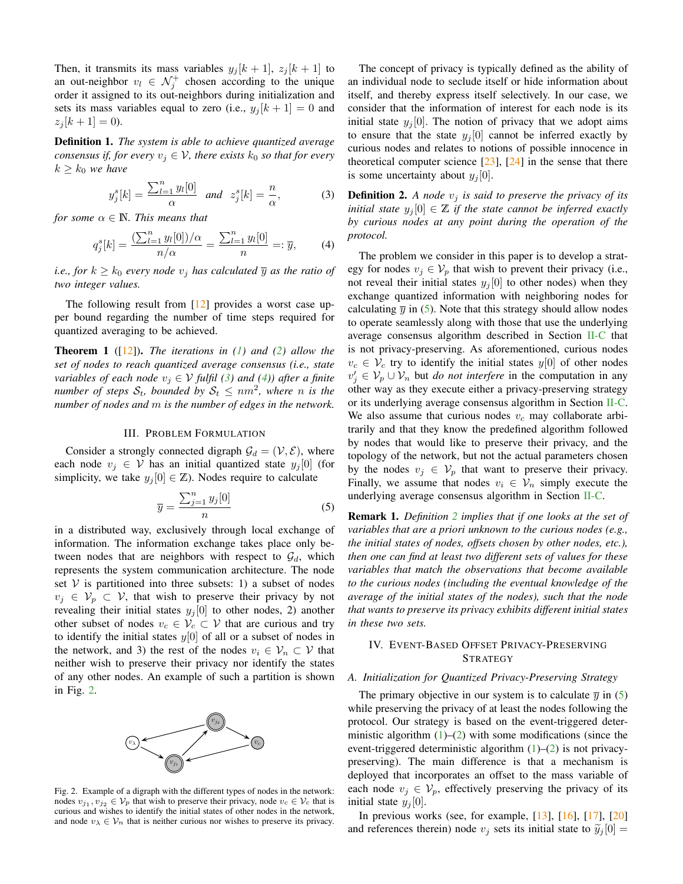Then, it transmits its mass variables  $y_j[k+1], z_j[k+1]$  to an out-neighbor  $v_l \in \mathcal{N}_j^+$  chosen according to the unique order it assigned to its out-neighbors during initialization and sets its mass variables equal to zero (i.e.,  $y_j[k+1] = 0$  and  $z_j[k+1] = 0$ ).

Definition 1. *The system is able to achieve quantized average consensus if, for every*  $v_j \in V$ *, there exists*  $k_0$  *so that for every*  $k \geq k_0$  *we have* 

<span id="page-3-2"></span>
$$
y_j^s[k] = \frac{\sum_{l=1}^n y_l[0]}{\alpha} \quad \text{and} \quad z_j^s[k] = \frac{n}{\alpha},\tag{3}
$$

*for some*  $\alpha \in \mathbb{N}$ *. This means that* 

<span id="page-3-3"></span>
$$
q_j^s[k] = \frac{\left(\sum_{l=1}^n y_l[0]\right)/\alpha}{n/\alpha} = \frac{\sum_{l=1}^n y_l[0]}{n} =: \overline{y},\qquad(4)
$$

*i.e., for*  $k \geq k_0$  *every node*  $v_i$  *has calculated*  $\overline{y}$  *as the ratio of two integer values.*

The following result from  $[12]$  provides a worst case upper bound regarding the number of time steps required for quantized averaging to be achieved.

<span id="page-3-7"></span>Theorem 1 ([\[12\]](#page-9-7)). *The iterations in [\(1\)](#page-2-4) and [\(2\)](#page-2-5) allow the set of nodes to reach quantized average consensus (i.e., state variables of each node*  $v_j \in V$  *fulfil* [\(3\)](#page-3-2) and [\(4\)](#page-3-3)) after a finite *number of steps*  $\mathcal{S}_t$ , bounded by  $\mathcal{S}_t \le nm^2$ , where n is the *number of nodes and* m *is the number of edges in the network.*

#### III. PROBLEM FORMULATION

<span id="page-3-0"></span>Consider a strongly connected digraph  $\mathcal{G}_d = (\mathcal{V}, \mathcal{E})$ , where each node  $v_j \in V$  has an initial quantized state  $y_j[0]$  (for simplicity, we take  $y_j[0] \in \mathbb{Z}$ ). Nodes require to calculate

<span id="page-3-5"></span>
$$
\overline{y} = \frac{\sum_{j=1}^{n} y_j[0]}{n} \tag{5}
$$

in a distributed way, exclusively through local exchange of information. The information exchange takes place only between nodes that are neighbors with respect to  $\mathcal{G}_d$ , which represents the system communication architecture. The node set  $V$  is partitioned into three subsets: 1) a subset of nodes  $v_i \in V_p \subset V$ , that wish to preserve their privacy by not revealing their initial states  $y_j[0]$  to other nodes, 2) another other subset of nodes  $v_c \in V_c \subset V$  that are curious and try to identify the initial states  $y[0]$  of all or a subset of nodes in the network, and 3) the rest of the nodes  $v_i \in V_n \subset V$  that neither wish to preserve their privacy nor identify the states of any other nodes. An example of such a partition is shown in Fig. [2.](#page-3-4)



<span id="page-3-4"></span>Fig. 2. Example of a digraph with the different types of nodes in the network: nodes  $v_{j_1}, v_{j_2} \in V_p$  that wish to preserve their privacy, node  $v_c \in V_c$  that is curious and wishes to identify the initial states of other nodes in the network, and node  $v_{\lambda} \in V_n$  that is neither curious nor wishes to preserve its privacy.

The concept of privacy is typically defined as the ability of an individual node to seclude itself or hide information about itself, and thereby express itself selectively. In our case, we consider that the information of interest for each node is its initial state  $y_j[0]$ . The notion of privacy that we adopt aims to ensure that the state  $y_i[0]$  cannot be inferred exactly by curious nodes and relates to notions of possible innocence in theoretical computer science  $[23]$ ,  $[24]$  in the sense that there is some uncertainty about  $y_i[0]$ .

<span id="page-3-6"></span>**Definition 2.** A node  $v_j$  is said to preserve the privacy of its *initial state*  $y_j[0] \in \mathbb{Z}$  *if the state cannot be inferred exactly by curious nodes at any point during the operation of the protocol.*

The problem we consider in this paper is to develop a strategy for nodes  $v_j \in V_p$  that wish to prevent their privacy (i.e., not reveal their initial states  $y_i[0]$  to other nodes) when they exchange quantized information with neighboring nodes for calculating  $\overline{y}$  in [\(5\)](#page-3-5). Note that this strategy should allow nodes to operate seamlessly along with those that use the underlying average consensus algorithm described in Section [II-C](#page-2-6) that is not privacy-preserving. As aforementioned, curious nodes  $v_c \in V_c$  try to identify the initial states  $y[0]$  of other nodes  $v'_j \in V_p \cup V_n$  but *do not interfere* in the computation in any other way as they execute either a privacy-preserving strategy or its underlying average consensus algorithm in Section [II-C.](#page-2-6) We also assume that curious nodes  $v_c$  may collaborate arbitrarily and that they know the predefined algorithm followed by nodes that would like to preserve their privacy, and the topology of the network, but not the actual parameters chosen by the nodes  $v_j \in V_p$  that want to preserve their privacy. Finally, we assume that nodes  $v_i \in V_n$  simply execute the underlying average consensus algorithm in Section [II-C.](#page-2-6)

Remark 1. *Definition [2](#page-3-6) implies that if one looks at the set of variables that are a priori unknown to the curious nodes (e.g., the initial states of nodes, offsets chosen by other nodes, etc.), then one can find at least two different sets of values for these variables that match the observations that become available to the curious nodes (including the eventual knowledge of the average of the initial states of the nodes), such that the node that wants to preserve its privacy exhibits different initial states in these two sets.*

# <span id="page-3-1"></span>IV. EVENT-BASED OFFSET PRIVACY-PRESERVING **STRATEGY**

#### *A. Initialization for Quantized Privacy-Preserving Strategy*

The primary objective in our system is to calculate  $\overline{y}$  in [\(5\)](#page-3-5) while preserving the privacy of at least the nodes following the protocol. Our strategy is based on the event-triggered deterministic algorithm  $(1)$ – $(2)$  with some modifications (since the event-triggered deterministic algorithm  $(1)$ – $(2)$  is not privacypreserving). The main difference is that a mechanism is deployed that incorporates an offset to the mass variable of each node  $v_i \in V_p$ , effectively preserving the privacy of its initial state  $y_j[0]$ .

In previous works (see, for example, [\[13\]](#page-9-8), [\[16\]](#page-9-11), [\[17\]](#page-9-12), [\[20\]](#page-9-16) and references therein) node  $v_j$  sets its initial state to  $\tilde{y}_j[0] =$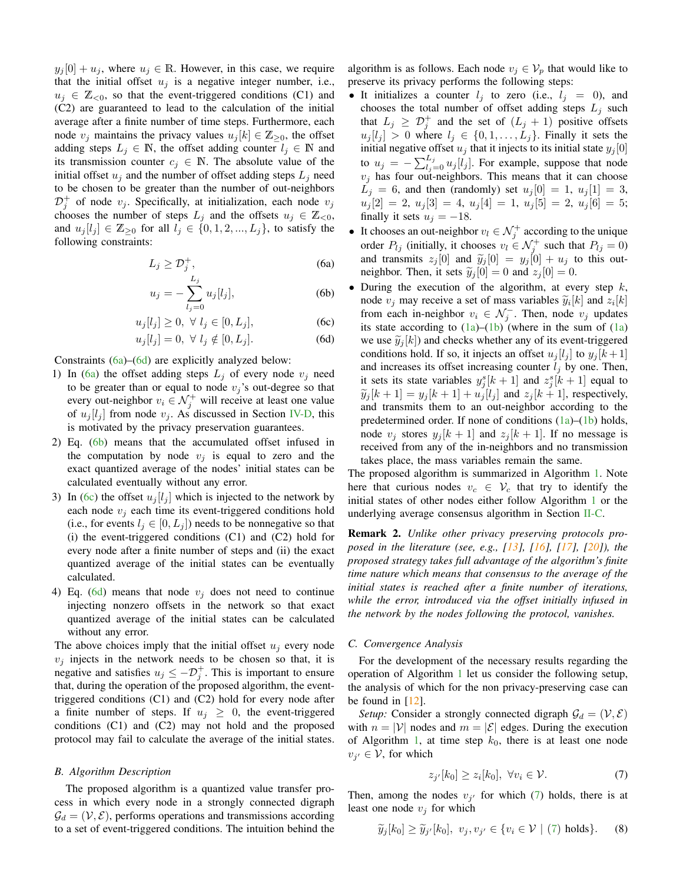$y_i[0] + u_i$ , where  $u_i \in \mathbb{R}$ . However, in this case, we require that the initial offset  $u_j$  is a negative integer number, i.e.,  $u_i \in \mathbb{Z}_{\leq 0}$ , so that the event-triggered conditions (C1) and (C2) are guaranteed to lead to the calculation of the initial average after a finite number of time steps. Furthermore, each node  $v_j$  maintains the privacy values  $u_j[k] \in \mathbb{Z}_{\geq 0}$ , the offset adding steps  $L_j \in \mathbb{N}$ , the offset adding counter  $l_j \in \mathbb{N}$  and its transmission counter  $c_j \in \mathbb{N}$ . The absolute value of the initial offset  $u_i$  and the number of offset adding steps  $L_i$  need to be chosen to be greater than the number of out-neighbors  $\mathcal{D}_j^+$  of node  $v_j$ . Specifically, at initialization, each node  $v_j$ chooses the number of steps  $L_i$  and the offsets  $u_i \in \mathbb{Z}_{\leq 0}$ , and  $u_j[l_j] \in \mathbb{Z}_{\geq 0}$  for all  $l_j \in \{0, 1, 2, ..., L_j\}$ , to satisfy the following constraints:

$$
L_j \geq \mathcal{D}_j^+, \tag{6a}
$$

$$
u_j = -\sum_{l_j=0}^{-j} u_j[l_j],
$$
 (6b)

$$
u_j[l_j] \ge 0, \ \forall \ l_j \in [0, L_j], \tag{6c}
$$

$$
u_j[l_j] = 0, \ \forall \ l_j \notin [0, L_j]. \tag{6d}
$$

Constraints [\(6a\)](#page-4-0)–[\(6d\)](#page-4-1) are explicitly analyzed below:

- 1) In [\(6a\)](#page-4-0) the offset adding steps  $L_j$  of every node  $v_j$  need to be greater than or equal to node  $v_j$ 's out-degree so that every out-neighbor  $v_i \in \mathcal{N}_j^+$  will receive at least one value of  $u_j[l_j]$  from node  $v_j$ . As discussed in Section [IV-D,](#page-5-0) this is motivated by the privacy preservation guarantees.
- 2) Eq. [\(6b\)](#page-4-2) means that the accumulated offset infused in the computation by node  $v_i$  is equal to zero and the exact quantized average of the nodes' initial states can be calculated eventually without any error.
- 3) In [\(6c\)](#page-4-3) the offset  $u_i[l_i]$  which is injected to the network by each node  $v_i$  each time its event-triggered conditions hold (i.e., for events  $l_j \in [0, L_j]$ ) needs to be nonnegative so that (i) the event-triggered conditions (C1) and (C2) hold for every node after a finite number of steps and (ii) the exact quantized average of the initial states can be eventually calculated.
- 4) Eq. [\(6d\)](#page-4-1) means that node  $v_j$  does not need to continue injecting nonzero offsets in the network so that exact quantized average of the initial states can be calculated without any error.

The above choices imply that the initial offset  $u_i$  every node  $v_i$  injects in the network needs to be chosen so that, it is negative and satisfies  $u_j \leq -\mathcal{D}_j^+$ . This is important to ensure that, during the operation of the proposed algorithm, the eventtriggered conditions (C1) and (C2) hold for every node after a finite number of steps. If  $u_i \geq 0$ , the event-triggered conditions (C1) and (C2) may not hold and the proposed protocol may fail to calculate the average of the initial states.

#### *B. Algorithm Description*

The proposed algorithm is a quantized value transfer process in which every node in a strongly connected digraph  $\mathcal{G}_d = (\mathcal{V}, \mathcal{E})$ , performs operations and transmissions according to a set of event-triggered conditions. The intuition behind the algorithm is as follows. Each node  $v_j \in V_p$  that would like to preserve its privacy performs the following steps:

- It initializes a counter  $l_j$  to zero (i.e.,  $l_j = 0$ ), and chooses the total number of offset adding steps  $L_j$  such that  $L_j \geq \mathcal{D}_j^+$  and the set of  $(L_j + 1)$  positive offsets  $u_j[l_j] > 0$  where  $l_j \in \{0, 1, \ldots, L_j\}$ . Finally it sets the initial negative offset  $u_j$  that it injects to its initial state  $y_j[0]$ to  $u_j = -\sum_{l_j=0}^{L_j} u_j[l_j]$ . For example, suppose that node  $v_j$  has four out-neighbors. This means that it can choose  $L_j = 6$ , and then (randomly) set  $u_j[0] = 1$ ,  $u_j[1] = 3$ ,  $u_j[2] = 2, u_j[3] = 4, u_j[4] = 1, u_j[5] = 2, u_j[6] = 5;$ finally it sets  $u_j = -18$ .
- <span id="page-4-0"></span>• It chooses an out-neighbor  $v_l \in \mathcal{N}_j^+$  according to the unique order  $P_{lj}$  (initially, it chooses  $v_l \in \mathcal{N}_j^+$  such that  $P_{lj} = 0$ ) and transmits  $z_j[0]$  and  $\widetilde{y}_j[0] = y_j[0] + u_j$  to this out-<br>pairbbor. Then it sets  $\widetilde{u}_j[0] = 0$  and  $z_j[0] = 0$ neighbor. Then, it sets  $\tilde{y}_i[0] = 0$  and  $z_i[0] = 0$ .
- <span id="page-4-3"></span><span id="page-4-2"></span><span id="page-4-1"></span>• During the execution of the algorithm, at every step  $k$ , node  $v_j$  may receive a set of mass variables  $\widetilde{y}_i[k]$  and  $z_i[k]$ <br>from each in peigbbor  $v_j \in \mathcal{N}^-$ . Then, node  $v_j$  undates from each in-neighbor  $v_i \in \mathcal{N}_j^-$ . Then, node  $v_j$  updates its state according to  $(1a)$ – $(1b)$  (where in the sum of  $(1a)$ we use  $\tilde{y}_i[k]$  and checks whether any of its event-triggered conditions hold. If so, it injects an offset  $u_j[l_j]$  to  $y_j[k+1]$ and increases its offset increasing counter  $l_i$  by one. Then, it sets its state variables  $y_j^s[k+1]$  and  $z_j^s[k+1]$  equal to  $\widetilde{y}_j[k+1] = y_j[k+1] + u_j[l_j]$  and  $z_j[k+1]$ , respectively, and transmits them to an out-neighbor according to the predetermined order. If none of conditions  $(1a)$ – $(1b)$  holds, node  $v_j$  stores  $y_j[k+1]$  and  $z_j[k+1]$ . If no message is received from any of the in-neighbors and no transmission takes place, the mass variables remain the same.

The proposed algorithm is summarized in Algorithm [1.](#page-5-1) Note here that curious nodes  $v_c \in V_c$  that try to identify the initial states of other nodes either follow Algorithm [1](#page-5-1) or the underlying average consensus algorithm in Section [II-C.](#page-2-6)

Remark 2. *Unlike other privacy preserving protocols proposed in the literature (see, e.g., [\[13\]](#page-9-8), [\[16\]](#page-9-11), [\[17\]](#page-9-12), [\[20\]](#page-9-16)), the proposed strategy takes full advantage of the algorithm's finite time nature which means that consensus to the average of the initial states is reached after a finite number of iterations, while the error, introduced via the offset initially infused in the network by the nodes following the protocol, vanishes.*

#### *C. Convergence Analysis*

For the development of the necessary results regarding the operation of Algorithm [1](#page-5-1) let us consider the following setup, the analysis of which for the non privacy-preserving case can be found in [\[12\]](#page-9-7).

*Setup:* Consider a strongly connected digraph  $\mathcal{G}_d = (\mathcal{V}, \mathcal{E})$ with  $n = |\mathcal{V}|$  nodes and  $m = |\mathcal{E}|$  edges. During the execution of Algorithm [1,](#page-5-1) at time step  $k_0$ , there is at least one node  $v_{j'} \in V$ , for which

<span id="page-4-4"></span>
$$
z_{j'}[k_0] \ge z_i[k_0], \ \forall v_i \in \mathcal{V}.\tag{7}
$$

Then, among the nodes  $v_{j'}$  for which [\(7\)](#page-4-4) holds, there is at least one node  $v_j$  for which

<span id="page-4-5"></span>
$$
\widetilde{y}_j[k_0] \ge \widetilde{y}_{j'}[k_0], \ v_j, v_{j'} \in \{v_i \in \mathcal{V} \mid (7) \text{ holds}\}. \tag{8}
$$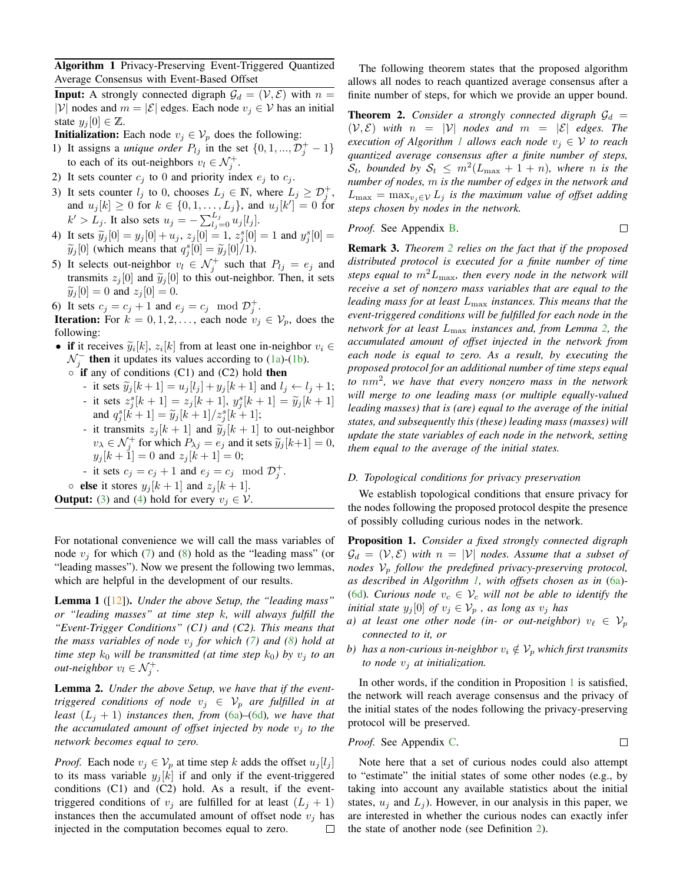<span id="page-5-1"></span>Algorithm 1 Privacy-Preserving Event-Triggered Quantized Average Consensus with Event-Based Offset

**Input:** A strongly connected digraph  $\mathcal{G}_d = (\mathcal{V}, \mathcal{E})$  with  $n =$ |V| nodes and  $m = |\mathcal{E}|$  edges. Each node  $v_i \in \mathcal{V}$  has an initial state  $y_i[0] \in \mathbb{Z}$ .

**Initialization:** Each node  $v_j \in V_p$  does the following:

- 1) It assigns a *unique order*  $P_{lj}$  in the set  $\{0, 1, ..., \mathcal{D}_j^+ 1\}$ to each of its out-neighbors  $v_l \in \mathcal{N}_j^+$ .
- 2) It sets counter  $c_j$  to 0 and priority index  $e_j$  to  $c_j$ .
- 3) It sets counter  $l_j$  to 0, chooses  $L_j \in \mathbb{N}$ , where  $L_j \geq \mathcal{D}_j^+$ , and  $u_j[k] \ge 0$  for  $k \in \{0, 1, ..., L_j\}$ , and  $u_j[k'] = 0$  for  $k' > L_j$ . It also sets  $u_j = -\sum_{l_j=0}^{L_j} u_j[l_j]$ .
- 4) It sets  $\tilde{y}_j[0] = y_j[0] + u_j$ ,  $z_j[0] = 1$ ,  $z_j^s[0] = 1$  and  $y_j^s[0] = \tilde{y}_j[0]$  (which means that  $a^s[0] = \tilde{y}_j[0]/1$ )  $\widetilde{y}_j[0]$  (which means that  $q_j^s[0] = \widetilde{y}_j[0]/1$ ).
- 5) It selects out-neighbor  $v_l \in \mathcal{N}_j^+$  such that  $P_{lj} = e_j$  and transmits  $z_i[0]$  and  $\widetilde{y}_i[0]$  to this out-neighbor. Then, it sets  $\widetilde{y}_j[0] = 0$  and  $z_j[0] = 0$ .
- 6) It sets  $c_j = c_j + 1$  and  $e_j = c_j \mod \mathcal{D}_j^+$ .

**Iteration:** For  $k = 0, 1, 2, \ldots$ , each node  $v_j \in V_p$ , does the following:

- if it receives  $\widetilde{y}_i[k], z_i[k]$  from at least one in-neighbor  $v_i \in \mathcal{N}^-$  then it undates its values according to (1a) (1b)  $\mathcal{N}_j^-$  then it updates its values according to [\(1a\)](#page-2-7)-[\(1b\)](#page-2-8).
	- if any of conditions (C1) and (C2) hold then
		- it sets  $\widetilde{y}_j[k+1] = u_j[l_j] + y_j[k+1]$  and  $l_j \leftarrow l_j + 1$ ; - it sets  $z_j^s[k+1] = z_j[k+1], y_j^s[k+1] = \widetilde{y}_j[k+1]$ <br>and  $q_j^s[k+1] = \widetilde{y}_j[k+1]/z_j^s[k+1]$ ;<br>it tensorites with a land  $\widetilde{y}_j[k+1]$  to set unit have
		- it transmits  $z_j[k+1]$  and  $\widetilde{y}_j[k+1]$  to out-neighbor  $v_{\lambda} \in \mathcal{N}_j^+$  for which  $P_{\lambda j} = e_j$  and it sets  $\widetilde{y}_j[k+1] = 0$ ,<br> $v_{\lambda} [k+1] = 0$  and  $\widetilde{z}_j[k+1] = 0$ .  $y_j[k+1] = 0$  and  $z_j[k+1] = 0$ ;
		- it sets  $c_j = c_j + 1$  and  $e_j = c_j \mod \mathcal{D}_j^+$ .

• **else** it stores  $y_i[k+1]$  and  $z_i[k+1]$ .

**Output:** [\(3\)](#page-3-2) and [\(4\)](#page-3-3) hold for every  $v_i \in V$ .

For notational convenience we will call the mass variables of node  $v_i$  for which [\(7\)](#page-4-4) and [\(8\)](#page-4-5) hold as the "leading mass" (or "leading masses"). Now we present the following two lemmas, which are helpful in the development of our results.

<span id="page-5-5"></span>Lemma 1 ([\[12\]](#page-9-7)). *Under the above Setup, the "leading mass" or "leading masses" at time step* k*, will always fulfill the "Event-Trigger Conditions" (C1) and (C2). This means that the mass variables of node*  $v_i$  *for which* [\(7\)](#page-4-4) *and* [\(8\)](#page-4-5) *hold at time step*  $k_0$  *will be transmitted (at time step*  $k_0$ ) *by*  $v_j$  *to an out-neighbor*  $v_l \in \mathcal{N}_j^+$ .

<span id="page-5-3"></span>Lemma 2. *Under the above Setup, we have that if the eventtriggered conditions of node*  $v_j \in V_p$  *are fulfilled in at least*  $(L_i + 1)$  *instances then, from* [\(6a\)](#page-4-0)–[\(6d\)](#page-4-1)*, we have that the accumulated amount of offset injected by node*  $v_i$  *to the network becomes equal to zero.*

*Proof.* Each node  $v_j \in V_p$  at time step k adds the offset  $u_j[l_j]$ to its mass variable  $y_i[k]$  if and only if the event-triggered conditions (C1) and (C2) hold. As a result, if the eventtriggered conditions of  $v_j$  are fulfilled for at least  $(L_j + 1)$ instances then the accumulated amount of offset node  $v_i$  has injected in the computation becomes equal to zero.  $\Box$ 

The following theorem states that the proposed algorithm allows all nodes to reach quantized average consensus after a finite number of steps, for which we provide an upper bound.

<span id="page-5-2"></span>**Theorem 2.** *Consider a strongly connected digraph*  $\mathcal{G}_d$  =  $(V, \mathcal{E})$  *with*  $n = |V|$  *nodes and*  $m = |\mathcal{E}|$  *edges. The execution of Algorithm [1](#page-5-1) allows each node*  $v_i \in V$  *to reach quantized average consensus after a finite number of steps,*  $S_t$ *, bounded by*  $S_t \leq m^2(L_{\max} + 1 + n)$ *, where n is the number of nodes,* m *is the number of edges in the network and*  $L_{\text{max}} = \max_{v_j \in V} L_j$  *is the maximum value of offset adding steps chosen by nodes in the network.*

*Proof.* See Appendix [B.](#page-10-0)  $\Box$ 

Remark 3. *Theorem [2](#page-5-2) relies on the fact that if the proposed distributed protocol is executed for a finite number of time steps equal to*  $m^2 L_{\text{max}}$ *, then every node in the network will receive a set of nonzero mass variables that are equal to the leading mass for at least* Lmax *instances. This means that the event-triggered conditions will be fulfilled for each node in the network for at least* Lmax *instances and, from Lemma [2,](#page-5-3) the accumulated amount of offset injected in the network from each node is equal to zero. As a result, by executing the proposed protocol for an additional number of time steps equal to* nm<sup>2</sup> *, we have that every nonzero mass in the network will merge to one leading mass (or multiple equally-valued leading masses) that is (are) equal to the average of the initial states, and subsequently this (these) leading mass (masses) will update the state variables of each node in the network, setting them equal to the average of the initial states.*

#### <span id="page-5-0"></span>*D. Topological conditions for privacy preservation*

We establish topological conditions that ensure privacy for the nodes following the proposed protocol despite the presence of possibly colluding curious nodes in the network.

<span id="page-5-4"></span>Proposition 1. *Consider a fixed strongly connected digraph*  $\mathcal{G}_d = (\mathcal{V}, \mathcal{E})$  *with*  $n = |\mathcal{V}|$  *nodes. Assume that a subset of nodes*  $V_p$  *follow the predefined privacy-preserving protocol, as described in Algorithm [1,](#page-5-1) with offsets chosen as in* [\(6a\)](#page-4-0)*-* [\(6d\)](#page-4-1). Curious node  $v_c \in V_c$  will not be able to identify the *initial state*  $y_j[0]$  *of*  $v_j \in V_p$ , *as long as*  $v_j$  *has* 

- *a)* at least one other node (in- or out-neighbor)  $v_\ell \in V_p$ *connected to it, or*
- *b*) *has a non-curious in-neighbor*  $v_i \notin V_p$  *which first transmits to node*  $v_i$  *at initialization.*

In other words, if the condition in Proposition [1](#page-5-4) is satisfied, the network will reach average consensus and the privacy of the initial states of the nodes following the privacy-preserving protocol will be preserved.

*Proof.* See Appendix C. 
$$
\Box
$$

Note here that a set of curious nodes could also attempt to "estimate" the initial states of some other nodes (e.g., by taking into account any available statistics about the initial states,  $u_i$  and  $L_i$ ). However, in our analysis in this paper, we are interested in whether the curious nodes can exactly infer the state of another node (see Definition [2\)](#page-3-6).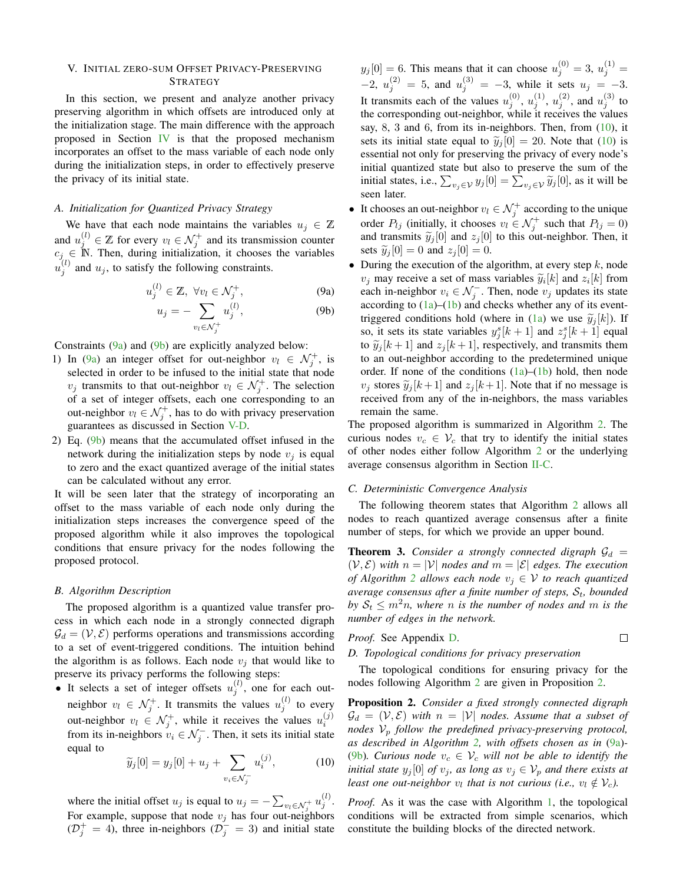# <span id="page-6-0"></span>V. INITIAL ZERO-SUM OFFSET PRIVACY-PRESERVING **STRATEGY**

In this section, we present and analyze another privacy preserving algorithm in which offsets are introduced only at the initialization stage. The main difference with the approach proposed in Section [IV](#page-3-1) is that the proposed mechanism incorporates an offset to the mass variable of each node only during the initialization steps, in order to effectively preserve the privacy of its initial state.

#### *A. Initialization for Quantized Privacy Strategy*

We have that each node maintains the variables  $u_i \in \mathbb{Z}$ and  $u_j^{(l)} \in \mathbb{Z}$  for every  $v_l \in \mathcal{N}_j^+$  and its transmission counter  $c_j \in \mathbb{N}$ . Then, during initialization, it chooses the variables  $u_j^{(l)}$  and  $u_j$ , to satisfy the following constraints.

$$
u_j^{(l)} \in \mathbb{Z}, \ \forall v_l \in \mathcal{N}_j^+, \tag{9a}
$$

$$
u_j = -\sum_{v_l \in \mathcal{N}_j^+} u_j^{(l)},\tag{9b}
$$

Constraints  $(9a)$  and  $(9b)$  are explicitly analyzed below:

- 1) In [\(9a\)](#page-6-1) an integer offset for out-neighbor  $v_l \in \mathcal{N}_j^+$ , is selected in order to be infused to the initial state that node  $v_j$  transmits to that out-neighbor  $v_l \in \mathcal{N}_j^+$ . The selection of a set of integer offsets, each one corresponding to an out-neighbor  $v_l \in \mathcal{N}_j^+$ , has to do with privacy preservation guarantees as discussed in Section [V-D.](#page-6-3)
- 2) Eq. [\(9b\)](#page-6-2) means that the accumulated offset infused in the network during the initialization steps by node  $v_i$  is equal to zero and the exact quantized average of the initial states can be calculated without any error.

It will be seen later that the strategy of incorporating an offset to the mass variable of each node only during the initialization steps increases the convergence speed of the proposed algorithm while it also improves the topological conditions that ensure privacy for the nodes following the proposed protocol.

#### *B. Algorithm Description*

The proposed algorithm is a quantized value transfer process in which each node in a strongly connected digraph  $\mathcal{G}_d = (\mathcal{V}, \mathcal{E})$  performs operations and transmissions according to a set of event-triggered conditions. The intuition behind the algorithm is as follows. Each node  $v_i$  that would like to preserve its privacy performs the following steps:

• It selects a set of integer offsets  $u_j^{(l)}$ , one for each outneighbor  $v_l \in \mathcal{N}_j^+$ . It transmits the values  $u_j^{(l)}$  to every out-neighbor  $v_l \in \mathcal{N}_j^+$ , while it receives the values  $u_i^{(j)}$ from its in-neighbors  $v_i \in \mathcal{N}_j^-$ . Then, it sets its initial state equal to

<span id="page-6-4"></span>
$$
\widetilde{y}_j[0] = y_j[0] + u_j + \sum_{v_i \in \mathcal{N}_j^-} u_i^{(j)}, \tag{10}
$$

where the initial offset  $u_j$  is equal to  $u_j = -\sum_{v_l \in \mathcal{N}_j^+} u_j^{(l)}$ . For example, suppose that node  $v_j$  has four out-neighbors  $(\mathcal{D}_{j}^{+} = 4)$ , three in-neighbors  $(\mathcal{D}_{j}^{-} = 3)$  and initial state

 $y_j[0] = 6$ . This means that it can choose  $u_j^{(0)} = 3$ ,  $u_j^{(1)} =$  $-2, u_j^{(2)} = 5, \text{ and } u_j^{(3)} = -3, \text{ while it sets } u_j = -3.$ It transmits each of the values  $u_j^{(0)}$ ,  $u_j^{(1)}$ ,  $u_j^{(2)}$ , and  $u_j^{(3)}$  to the corresponding out-neighbor, while it receives the values say, 8, 3 and 6, from its in-neighbors. Then, from [\(10\)](#page-6-4), it sets its initial state equal to  $\tilde{y}_j[0] = 20$ . Note that [\(10\)](#page-6-4) is essential not only for preserving the privacy of every node's initial quantized state but also to preserve the sum of the initial states, i.e.,  $\sum_{v_j \in V} y_j[0] = \sum_{v_j \in V} \widetilde{y}_j[0]$ , as it will be seen later.

- It chooses an out-neighbor  $v_l \in \mathcal{N}_j^+$  according to the unique order  $P_{lj}$  (initially, it chooses  $v_l \in \mathcal{N}_j^+$  such that  $P_{lj} = 0$ ) and transmits  $\tilde{y}_i[0]$  and  $z_i[0]$  to this out-neighbor. Then, it sets  $\widetilde{y}_j[0] = 0$  and  $z_j[0] = 0$ .
- <span id="page-6-2"></span><span id="page-6-1"></span>• During the execution of the algorithm, at every step  $k$ , node  $v_j$  may receive a set of mass variables  $\widetilde{y}_i[k]$  and  $z_i[k]$  from<br>each in neighbor  $v_i \in \mathcal{N}^-$ . Then, node  $v_j$  undates its state each in-neighbor  $v_i \in \mathcal{N}_j^-$ . Then, node  $v_j$  updates its state according to  $(1a)$ – $(1b)$  and checks whether any of its event-triggered conditions hold (where in [\(1a\)](#page-2-7) we use  $\tilde{y}_j[k]$ ). If so, it sets its state variables  $y_j^s[k+1]$  and  $z_j^s[k+1]$  equal to  $\tilde{y}_i[k+1]$  and  $z_i[k+1]$ , respectively, and transmits them to an out-neighbor according to the predetermined unique order. If none of the conditions  $(1a)$ – $(1b)$  hold, then node  $v_i$  stores  $\widetilde{y}_i[k+1]$  and  $z_i[k+1]$ . Note that if no message is received from any of the in-neighbors, the mass variables remain the same.

The proposed algorithm is summarized in Algorithm [2.](#page-7-1) The curious nodes  $v_c \in V_c$  that try to identify the initial states of other nodes either follow Algorithm [2](#page-7-1) or the underlying average consensus algorithm in Section [II-C.](#page-2-6)

#### *C. Deterministic Convergence Analysis*

The following theorem states that Algorithm [2](#page-7-1) allows all nodes to reach quantized average consensus after a finite number of steps, for which we provide an upper bound.

<span id="page-6-6"></span>**Theorem 3.** *Consider a strongly connected digraph*  $\mathcal{G}_d$  =  $(V, \mathcal{E})$  *with*  $n = |V|$  *nodes and*  $m = |\mathcal{E}|$  *edges. The execution of Algorithm* [2](#page-7-1) *allows each node*  $v_i \in V$  *to reach quantized average consensus after a finite number of steps,*  $S_t$ *, bounded by*  $S_t \leq m^2n$ , where *n* is the number of nodes and *m* is the *number of edges in the network.*

*Proof.* See Appendix D. 
$$
\Box
$$

#### <span id="page-6-3"></span>*D. Topological conditions for privacy preservation*

The topological conditions for ensuring privacy for the nodes following Algorithm [2](#page-7-1) are given in Proposition [2.](#page-6-5)

<span id="page-6-5"></span>Proposition 2. *Consider a fixed strongly connected digraph*  $\mathcal{G}_d = (\mathcal{V}, \mathcal{E})$  *with*  $n = |\mathcal{V}|$  *nodes. Assume that a subset of nodes*  $V_p$  *follow the predefined privacy-preserving protocol, as described in Algorithm [2,](#page-7-1) with offsets chosen as in* [\(9a\)](#page-6-1)*-* [\(9b\)](#page-6-2). Curious node  $v_c \in V_c$  will not be able to identify the *initial state*  $y_j[0]$  *of*  $v_j$ *, as long as*  $v_j \in V_p$  *and there exists at least one out-neighbor*  $v_l$  that is not curious (i.e.,  $v_l \notin V_c$ ).

*Proof.* As it was the case with Algorithm [1,](#page-5-1) the topological conditions will be extracted from simple scenarios, which constitute the building blocks of the directed network.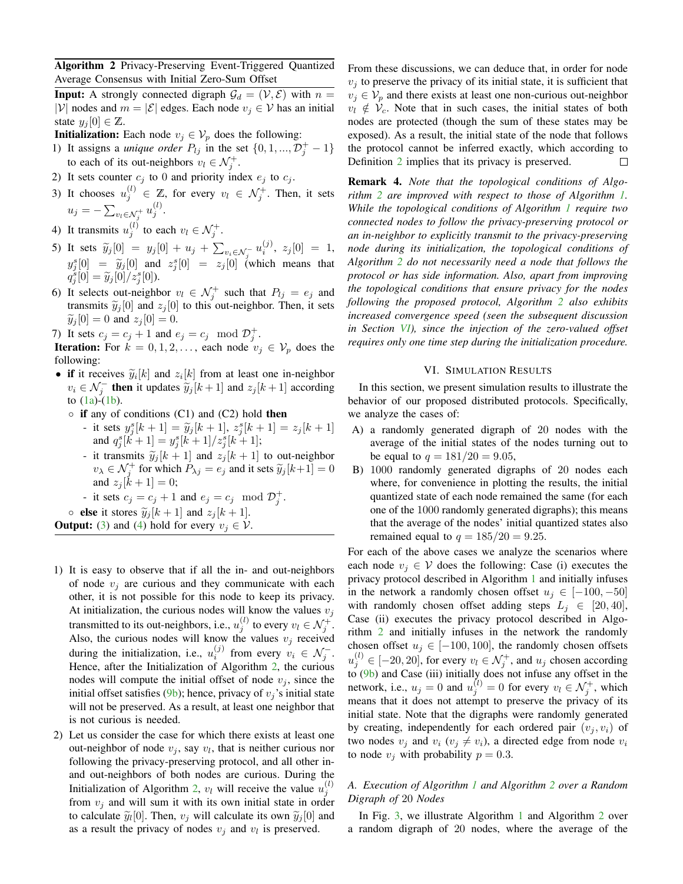<span id="page-7-1"></span>Algorithm 2 Privacy-Preserving Event-Triggered Quantized Average Consensus with Initial Zero-Sum Offset

**Input:** A strongly connected digraph  $\mathcal{G}_d = (\mathcal{V}, \mathcal{E})$  with  $n =$ |V| nodes and  $m = |\mathcal{E}|$  edges. Each node  $v_i \in \mathcal{V}$  has an initial state  $y_i[0] \in \mathbb{Z}$ .

**Initialization:** Each node  $v_j \in V_p$  does the following:

- 1) It assigns a *unique order*  $P_{lj}$  in the set  $\{0, 1, ..., \mathcal{D}_j^+ 1\}$ to each of its out-neighbors  $v_l \in \mathcal{N}_j^+$ .
- 2) It sets counter  $c_j$  to 0 and priority index  $e_j$  to  $c_j$ .
- 3) It chooses  $u_j^{(l)} \in \mathbb{Z}$ , for every  $v_l \in \mathcal{N}_j^+$ . Then, it sets  $u_j = -\sum_{v_l \in \mathcal{N}_j^+} u_j^{(l)}.$
- 4) It transmits  $u_j^{(l)}$  to each  $v_l \in \mathcal{N}_j^+$ .
- 5) It sets  $\widetilde{y}_j[0] = y_j[0] + u_j + \sum_{v_i \in \mathcal{N}_j^-} u_i^{(j)}, z_j[0] = 1,$  $y_j^s[0] = \tilde{y}_j[0]$  and  $z_j^s[0] = z_j[0]$  (which means that  $q_j^s[0] = \widetilde{y}_j[0]/z_j^s[0]).$
- 6) It selects out-neighbor  $v_l \in \mathcal{N}_j^+$  such that  $P_{lj} = e_j$  and transmits  $\tilde{y}_i[0]$  and  $z_i[0]$  to this out-neighbor. Then, it sets  $\widetilde{y}_i[0] = 0$  and  $z_i[0] = 0$ .
- 7) It sets  $c_j = c_j + 1$  and  $e_j = c_j \mod \mathcal{D}_j^+$ .

**Iteration:** For  $k = 0, 1, 2, \ldots$ , each node  $v_j \in V_p$  does the following:

- if it receives  $\widetilde{y}_i[k]$  and  $z_i[k]$  from at least one in-neighbor<br> $y_i \in \mathcal{N}^-$  then it undetes  $\widetilde{y}_i[k+1]$  and  $z_i[k+1]$  according  $v_i \in \mathcal{N}_j^-$  then it updates  $\tilde{y}_j[k+1]$  and  $z_j[k+1]$  according to  $(1)$  (1b) to  $(1a)-(1b)$  $(1a)-(1b)$  $(1a)-(1b)$ .
	- if any of conditions (C1) and (C2) hold then
		- it sets  $y_j^s[k+1] = \tilde{y}_j[k+1], z_j^s[k+1] = z_j[k+1]$ and  $q_j^s[k+1] = y_j^s[k+1]/z_j^s[k+1]$ ;
		- it transmits  $\widetilde{y}_j[k+1]$  and  $z_j[k+1]$  to out-neighbor  $v_{\lambda} \in \mathcal{N}_j^+$  for which  $P_{\lambda j} = e_j$  and it sets  $\widetilde{y}_j[k+1] = 0$ and  $z_i$  [ $k + 1$ ] = 0;

- it sets 
$$
c_j = c_j + 1
$$
 and  $e_j = c_j \mod \mathcal{D}_j^+$ .

• **else** it stores  $\widetilde{y}_j[k+1]$  and  $z_j[k+1]$ .

**Output:** [\(3\)](#page-3-2) and [\(4\)](#page-3-3) hold for every  $v_j \in V$ .

- 1) It is easy to observe that if all the in- and out-neighbors of node  $v_i$  are curious and they communicate with each other, it is not possible for this node to keep its privacy. At initialization, the curious nodes will know the values  $v_i$ transmitted to its out-neighbors, i.e.,  $u_j^{(l)}$  to every  $v_l \in \mathcal{N}_j^+$ . Also, the curious nodes will know the values  $v_j$  received during the initialization, i.e.,  $u_i^{(j)}$  from every  $v_i \in \mathcal{N}_j^-$ . Hence, after the Initialization of Algorithm [2,](#page-7-1) the curious nodes will compute the initial offset of node  $v_j$ , since the initial offset satisfies [\(9b\)](#page-6-2); hence, privacy of  $v_j$ 's initial state will not be preserved. As a result, at least one neighbor that is not curious is needed.
- 2) Let us consider the case for which there exists at least one out-neighbor of node  $v_j$ , say  $v_l$ , that is neither curious nor following the privacy-preserving protocol, and all other inand out-neighbors of both nodes are curious. During the Initialization of Algorithm [2,](#page-7-1)  $v_l$  will receive the value  $u_j^{(l)}$ from  $v_i$  and will sum it with its own initial state in order to calculate  $\tilde{y}_l[0]$ . Then,  $v_j$  will calculate its own  $\tilde{y}_j[0]$  and<br>as a result the privacy of podes  $v_j$  and  $v_j$  is preserved as a result the privacy of nodes  $v_j$  and  $v_l$  is preserved.

From these discussions, we can deduce that, in order for node  $v_i$  to preserve the privacy of its initial state, it is sufficient that  $v_j \in V_p$  and there exists at least one non-curious out-neighbor  $v_l \notin V_c$ . Note that in such cases, the initial states of both nodes are protected (though the sum of these states may be exposed). As a result, the initial state of the node that follows the protocol cannot be inferred exactly, which according to Definition [2](#page-3-6) implies that its privacy is preserved.  $\Box$ 

Remark 4. *Note that the topological conditions of Algorithm [2](#page-7-1) are improved with respect to those of Algorithm [1.](#page-5-1) While the topological conditions of Algorithm [1](#page-5-1) require two connected nodes to follow the privacy-preserving protocol or an in-neighbor to explicitly transmit to the privacy-preserving node during its initialization, the topological conditions of Algorithm [2](#page-7-1) do not necessarily need a node that follows the protocol or has side information. Also, apart from improving the topological conditions that ensure privacy for the nodes following the proposed protocol, Algorithm [2](#page-7-1) also exhibits increased convergence speed (seen the subsequent discussion in Section [VI\)](#page-7-0), since the injection of the zero-valued offset requires only one time step during the initialization procedure.*

#### VI. SIMULATION RESULTS

<span id="page-7-0"></span>In this section, we present simulation results to illustrate the behavior of our proposed distributed protocols. Specifically, we analyze the cases of:

- A) a randomly generated digraph of 20 nodes with the average of the initial states of the nodes turning out to be equal to  $q = 181/20 = 9.05$ ,
- B) 1000 randomly generated digraphs of 20 nodes each where, for convenience in plotting the results, the initial quantized state of each node remained the same (for each one of the 1000 randomly generated digraphs); this means that the average of the nodes' initial quantized states also remained equal to  $q = 185/20 = 9.25$ .

For each of the above cases we analyze the scenarios where each node  $v_j \in V$  does the following: Case (i) executes the privacy protocol described in Algorithm [1](#page-5-1) and initially infuses in the network a randomly chosen offset  $u_i \in [-100, -50]$ with randomly chosen offset adding steps  $L_i \in [20, 40]$ , Case (ii) executes the privacy protocol described in Algorithm [2](#page-7-1) and initially infuses in the network the randomly chosen offset  $u_j \in [-100, 100]$ , the randomly chosen offsets  $u_j^{(l)} \in [-20, 20]$ , for every  $v_l \in \mathcal{N}_j^+$ , and  $u_j$  chosen according to [\(9b\)](#page-6-2) and Case (iii) initially does not infuse any offset in the network, i.e.,  $u_j = 0$  and  $u_j^{(l)} = 0$  for every  $v_l \in \mathcal{N}_j^+$ , which means that it does not attempt to preserve the privacy of its initial state. Note that the digraphs were randomly generated by creating, independently for each ordered pair  $(v_i, v_i)$  of two nodes  $v_i$  and  $v_i$  ( $v_j \neq v_i$ ), a directed edge from node  $v_i$ to node  $v_i$  with probability  $p = 0.3$ .

# *A. Execution of Algorithm [1](#page-5-1) and Algorithm [2](#page-7-1) over a Random Digraph of* 20 *Nodes*

In Fig. [3,](#page-8-0) we illustrate Algorithm [1](#page-5-1) and Algorithm [2](#page-7-1) over a random digraph of 20 nodes, where the average of the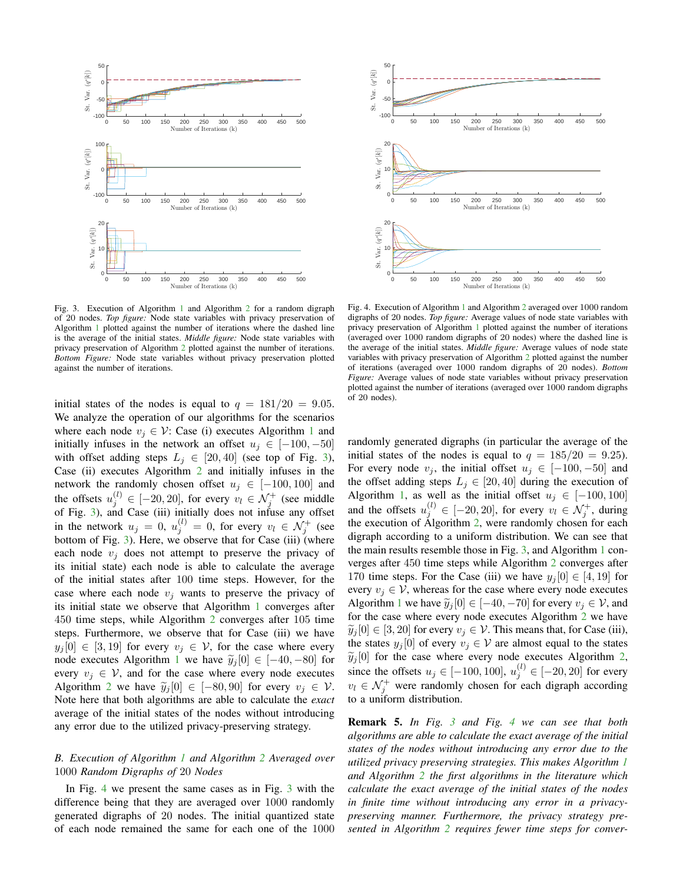

<span id="page-8-0"></span>Fig. 3. Execution of Algorithm [1](#page-5-1) and Algorithm [2](#page-7-1) for a random digraph of 20 nodes. *Top figure:* Node state variables with privacy preservation of Algorithm [1](#page-5-1) plotted against the number of iterations where the dashed line is the average of the initial states. *Middle figure:* Node state variables with privacy preservation of Algorithm [2](#page-7-1) plotted against the number of iterations. *Bottom Figure:* Node state variables without privacy preservation plotted against the number of iterations.

initial states of the nodes is equal to  $q = 181/20 = 9.05$ . We analyze the operation of our algorithms for the scenarios where each node  $v_i \in V$ : Case (i) executes Algorithm [1](#page-5-1) and initially infuses in the network an offset  $u_i \in [-100, -50]$ with offset adding steps  $L_j \in [20, 40]$  (see top of Fig. [3\)](#page-8-0), Case (ii) executes Algorithm  $2$  and initially infuses in the network the randomly chosen offset  $u_j \in [-100, 100]$  and the offsets  $u_j^{(l)} \in [-20, 20]$ , for every  $v_l \in \mathcal{N}_j^+$  (see middle of Fig. [3\)](#page-8-0), and Case (iii) initially does not infuse any offset in the network  $u_j = 0$ ,  $u_j^{(l)} = 0$ , for every  $v_l \in \mathcal{N}_j^+$  (see bottom of Fig. [3\)](#page-8-0). Here, we observe that for Case (iii) (where each node  $v_i$  does not attempt to preserve the privacy of its initial state) each node is able to calculate the average of the initial states after 100 time steps. However, for the case where each node  $v_i$  wants to preserve the privacy of its initial state we observe that Algorithm [1](#page-5-1) converges after 450 time steps, while Algorithm [2](#page-7-1) converges after 105 time steps. Furthermore, we observe that for Case (iii) we have  $y_i[0] \in [3, 19]$  for every  $v_i \in V$ , for the case where every node executes Algorithm [1](#page-5-1) we have  $\tilde{y}_i[0] \in [-40, -80]$  for every  $v_i \in V$ , and for the case where every node executes Algorithm [2](#page-7-1) we have  $\tilde{y}_j[0] \in [-80, 90]$  for every  $v_j \in V$ . Note here that both algorithms are able to calculate the *exact* average of the initial states of the nodes without introducing any error due to the utilized privacy-preserving strategy.

# *B. Execution of Algorithm [1](#page-5-1) and Algorithm [2](#page-7-1) Averaged over* 1000 *Random Digraphs of* 20 *Nodes*

In Fig. [4](#page-8-1) we present the same cases as in Fig. [3](#page-8-0) with the difference being that they are averaged over 1000 randomly generated digraphs of 20 nodes. The initial quantized state of each node remained the same for each one of the 1000



<span id="page-8-1"></span>Fig. 4. Execution of Algorithm [1](#page-5-1) and Algorithm [2](#page-7-1) averaged over 1000 random digraphs of 20 nodes. *Top figure:* Average values of node state variables with privacy preservation of Algorithm [1](#page-5-1) plotted against the number of iterations (averaged over 1000 random digraphs of 20 nodes) where the dashed line is the average of the initial states. *Middle figure:* Average values of node state variables with privacy preservation of Algorithm [2](#page-7-1) plotted against the number of iterations (averaged over 1000 random digraphs of 20 nodes). *Bottom Figure:* Average values of node state variables without privacy preservation plotted against the number of iterations (averaged over 1000 random digraphs of 20 nodes).

randomly generated digraphs (in particular the average of the initial states of the nodes is equal to  $q = 185/20 = 9.25$ . For every node  $v_j$ , the initial offset  $u_j \in [-100, -50]$  and the offset adding steps  $L_j \in [20, 40]$  during the execution of Algorithm [1,](#page-5-1) as well as the initial offset  $u_j \in [-100, 100]$ and the offsets  $u_j^{(l)} \in [-20, 20]$ , for every  $v_l \in \mathcal{N}_j^+$ , during the execution of Algorithm [2,](#page-7-1) were randomly chosen for each digraph according to a uniform distribution. We can see that the main results resemble those in Fig. [3,](#page-8-0) and Algorithm [1](#page-5-1) converges after 450 time steps while Algorithm [2](#page-7-1) converges after 170 time steps. For the Case (iii) we have  $y_i[0] \in [4, 19]$  for every  $v_i \in V$ , whereas for the case where every node executes Algorithm [1](#page-5-1) we have  $\widetilde{y}_i[0] \in [-40, -70]$  for every  $v_i \in \mathcal{V}$ , and for the case where every node executes Algorithm [2](#page-7-1) we have  $\widetilde{y}_j[0] \in [3, 20]$  for every  $v_j \in \mathcal{V}$ . This means that, for Case (iii), the states  $y_j[0]$  of every  $v_j \in V$  are almost equal to the states  $\widetilde{y}_j[0]$  for the case where every node executes Algorithm [2,](#page-7-1) since the offsets  $u_j \in [-100, 100]$ ,  $u_j^{(l)} \in [-20, 20]$  for every  $v_l \in \mathcal{N}_j^+$  were randomly chosen for each digraph according to a uniform distribution.

Remark 5. *In Fig. [3](#page-8-0) and Fig. [4](#page-8-1) we can see that both algorithms are able to calculate the exact average of the initial states of the nodes without introducing any error due to the utilized privacy preserving strategies. This makes Algorithm [1](#page-5-1) and Algorithm [2](#page-7-1) the first algorithms in the literature which calculate the exact average of the initial states of the nodes in finite time without introducing any error in a privacypreserving manner. Furthermore, the privacy strategy presented in Algorithm [2](#page-7-1) requires fewer time steps for conver-*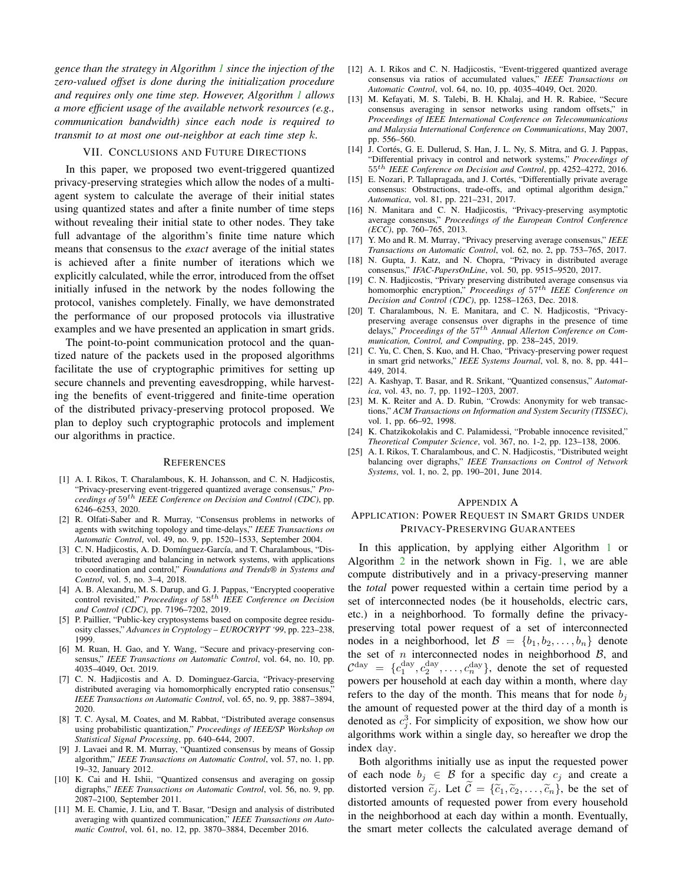*gence than the strategy in Algorithm [1](#page-5-1) since the injection of the zero-valued offset is done during the initialization procedure and requires only one time step. However, Algorithm [1](#page-5-1) allows a more efficient usage of the available network resources (e.g., communication bandwidth) since each node is required to transmit to at most one out-neighbor at each time step* k*.*

### VII. CONCLUSIONS AND FUTURE DIRECTIONS

<span id="page-9-19"></span>In this paper, we proposed two event-triggered quantized privacy-preserving strategies which allow the nodes of a multiagent system to calculate the average of their initial states using quantized states and after a finite number of time steps without revealing their initial state to other nodes. They take full advantage of the algorithm's finite time nature which means that consensus to the *exact* average of the initial states is achieved after a finite number of iterations which we explicitly calculated, while the error, introduced from the offset initially infused in the network by the nodes following the protocol, vanishes completely. Finally, we have demonstrated the performance of our proposed protocols via illustrative examples and we have presented an application in smart grids.

The point-to-point communication protocol and the quantized nature of the packets used in the proposed algorithms facilitate the use of cryptographic primitives for setting up secure channels and preventing eavesdropping, while harvesting the benefits of event-triggered and finite-time operation of the distributed privacy-preserving protocol proposed. We plan to deploy such cryptographic protocols and implement our algorithms in practice.

#### **REFERENCES**

- <span id="page-9-1"></span>[1] A. I. Rikos, T. Charalambous, K. H. Johansson, and C. N. Hadjicostis, "Privacy-preserving event-triggered quantized average consensus," *Proceedings of* 59th *IEEE Conference on Decision and Control (CDC)*, pp. 6246–6253, 2020.
- <span id="page-9-0"></span>[2] R. Olfati-Saber and R. Murray, "Consensus problems in networks of agents with switching topology and time-delays," *IEEE Transactions on Automatic Control*, vol. 49, no. 9, pp. 1520–1533, September 2004.
- <span id="page-9-2"></span>[3] C. N. Hadjicostis, A. D. Domínguez-García, and T. Charalambous, "Distributed averaging and balancing in network systems, with applications to coordination and control," *Foundations and Trends® in Systems and Control*, vol. 5, no. 3–4, 2018.
- <span id="page-9-3"></span>[4] A. B. Alexandru, M. S. Darup, and G. J. Pappas, "Encrypted cooperative control revisited," *Proceedings of* 58th *IEEE Conference on Decision and Control (CDC)*, pp. 7196–7202, 2019.
- <span id="page-9-4"></span>[5] P. Paillier, "Public-key cryptosystems based on composite degree residuosity classes," *Advances in Cryptology – EUROCRYPT '99*, pp. 223–238, 1999.
- <span id="page-9-14"></span>[6] M. Ruan, H. Gao, and Y. Wang, "Secure and privacy-preserving consensus," *IEEE Transactions on Automatic Control*, vol. 64, no. 10, pp. 4035–4049, Oct. 2019.
- <span id="page-9-5"></span>[7] C. N. Hadjicostis and A. D. Dominguez-Garcia, "Privacy-preserving distributed averaging via homomorphically encrypted ratio consensus, *IEEE Transactions on Automatic Control*, vol. 65, no. 9, pp. 3887–3894, 2020.
- <span id="page-9-6"></span>[8] T. C. Aysal, M. Coates, and M. Rabbat, "Distributed average consensus using probabilistic quantization," *Proceedings of IEEE/SP Workshop on Statistical Signal Processing*, pp. 640–644, 2007.
- [9] J. Lavaei and R. M. Murray, "Quantized consensus by means of Gossip algorithm," *IEEE Transactions on Automatic Control*, vol. 57, no. 1, pp. 19–32, January 2012.
- <span id="page-9-20"></span>[10] K. Cai and H. Ishii, "Quantized consensus and averaging on gossip digraphs," *IEEE Transactions on Automatic Control*, vol. 56, no. 9, pp. 2087–2100, September 2011.
- [11] M. E. Chamie, J. Liu, and T. Basar, "Design and analysis of distributed averaging with quantized communication," *IEEE Transactions on Automatic Control*, vol. 61, no. 12, pp. 3870–3884, December 2016.
- <span id="page-9-7"></span>[12] A. I. Rikos and C. N. Hadjicostis, "Event-triggered quantized average consensus via ratios of accumulated values," *IEEE Transactions on Automatic Control*, vol. 64, no. 10, pp. 4035–4049, Oct. 2020.
- <span id="page-9-8"></span>[13] M. Kefayati, M. S. Talebi, B. H. Khalaj, and H. R. Rabiee, "Secure consensus averaging in sensor networks using random offsets," in *Proceedings of IEEE International Conference on Telecommunications and Malaysia International Conference on Communications*, May 2007, pp. 556–560.
- <span id="page-9-9"></span>[14] J. Cortés, G. E. Dullerud, S. Han, J. L. Ny, S. Mitra, and G. J. Pappas, "Differential privacy in control and network systems," *Proceedings of* 55th *IEEE Conference on Decision and Control*, pp. 4252–4272, 2016.
- <span id="page-9-10"></span>[15] E. Nozari, P. Tallapragada, and J. Cortés, "Differentially private average consensus: Obstructions, trade-offs, and optimal algorithm design," *Automatica*, vol. 81, pp. 221–231, 2017.
- <span id="page-9-11"></span>[16] N. Manitara and C. N. Hadjicostis, "Privacy-preserving asymptotic average consensus," *Proceedings of the European Control Conference (ECC)*, pp. 760–765, 2013.
- <span id="page-9-12"></span>[17] Y. Mo and R. M. Murray, "Privacy preserving average consensus," *IEEE Transactions on Automatic Control*, vol. 62, no. 2, pp. 753–765, 2017.
- <span id="page-9-13"></span>[18] N. Gupta, J. Katz, and N. Chopra, "Privacy in distributed average consensus," *IFAC-PapersOnLine*, vol. 50, pp. 9515–9520, 2017.
- <span id="page-9-15"></span>[19] C. N. Hadjicostis, "Privary preserving distributed average consensus via homomorphic encryption," *Proceedings of* 57th *IEEE Conference on Decision and Control (CDC)*, pp. 1258–1263, Dec. 2018.
- <span id="page-9-16"></span>[20] T. Charalambous, N. E. Manitara, and C. N. Hadjicostis, "Privacypreserving average consensus over digraphs in the presence of time delays," *Proceedings of the* 57th *Annual Allerton Conference on Communication, Control, and Computing*, pp. 238–245, 2019.
- <span id="page-9-17"></span>[21] C. Yu, C. Chen, S. Kuo, and H. Chao, "Privacy-preserving power request in smart grid networks," *IEEE Systems Journal*, vol. 8, no. 8, pp. 441– 449, 2014.
- <span id="page-9-21"></span>[22] A. Kashyap, T. Basar, and R. Srikant, "Quantized consensus," *Automatica*, vol. 43, no. 7, pp. 1192–1203, 2007.
- <span id="page-9-22"></span>[23] M. K. Reiter and A. D. Rubin, "Crowds: Anonymity for web transactions," *ACM Transactions on Information and System Security (TISSEC)*, vol. 1, pp. 66–92, 1998.
- <span id="page-9-23"></span>[24] K. Chatzikokolakis and C. Palamidessi, "Probable innocence revisited," *Theoretical Computer Science*, vol. 367, no. 1-2, pp. 123–138, 2006.
- <span id="page-9-24"></span>[25] A. I. Rikos, T. Charalambous, and C. N. Hadjicostis, "Distributed weight balancing over digraphs," *IEEE Transactions on Control of Network Systems*, vol. 1, no. 2, pp. 190–201, June 2014.

#### <span id="page-9-18"></span>APPENDIX A

# APPLICATION: POWER REQUEST IN SMART GRIDS UNDER PRIVACY-PRESERVING GUARANTEES

In this application, by applying either Algorithm [1](#page-5-1) or Algorithm [2](#page-7-1) in the network shown in Fig. [1,](#page-1-0) we are able compute distributively and in a privacy-preserving manner the *total* power requested within a certain time period by a set of interconnected nodes (be it households, electric cars, etc.) in a neighborhood. To formally define the privacypreserving total power request of a set of interconnected nodes in a neighborhood, let  $\mathcal{B} = \{b_1, b_2, \ldots, b_n\}$  denote the set of  $n$  interconnected nodes in neighborhood  $B$ , and  $\mathcal{C}^{\text{day}} = \{c_1^{\text{day}}, c_2^{\text{day}}, \dots, c_n^{\text{day}}\},\$  denote the set of requested powers per household at each day within a month, where day refers to the day of the month. This means that for node  $b_i$ the amount of requested power at the third day of a month is denoted as  $c_j^3$ . For simplicity of exposition, we show how our algorithms work within a single day, so hereafter we drop the index day.

Both algorithms initially use as input the requested power of each node  $b_j \in \mathcal{B}$  for a specific day  $c_j$  and create a distorted version  $\tilde{c}_j$ . Let  $\mathcal{C} = {\tilde{c}_1, \tilde{c}_2, \ldots, \tilde{c}_n}$ , be the set of distorted amounts of requested power from every household in the neighborhood at each day within a month. Eventually, the smart meter collects the calculated average demand of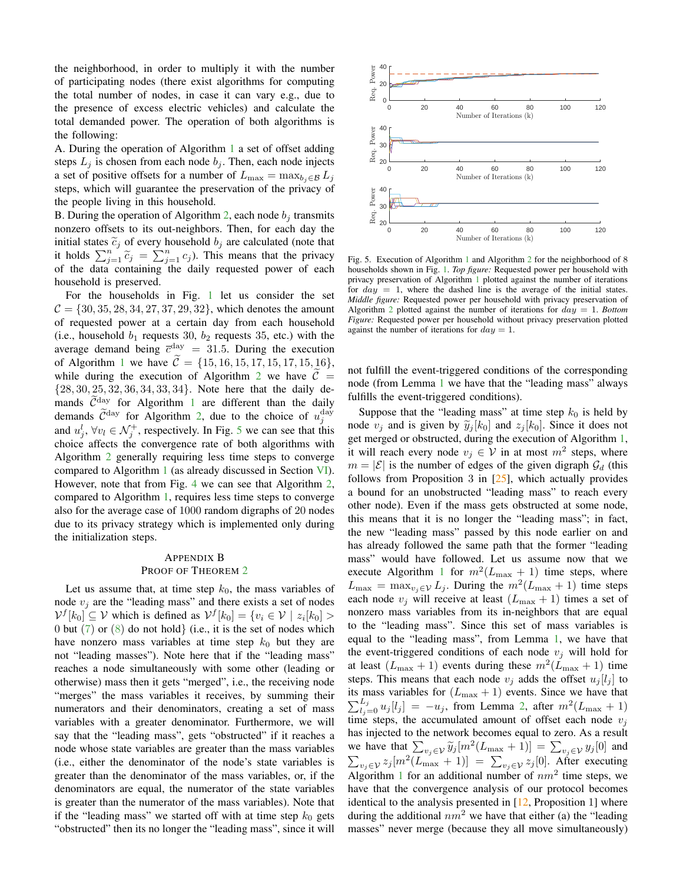the neighborhood, in order to multiply it with the number of participating nodes (there exist algorithms for computing the total number of nodes, in case it can vary e.g., due to the presence of excess electric vehicles) and calculate the total demanded power. The operation of both algorithms is the following:

A. During the operation of Algorithm [1](#page-5-1) a set of offset adding steps  $L_j$  is chosen from each node  $b_j$ . Then, each node injects a set of positive offsets for a number of  $L_{\text{max}} = \max_{b_i \in \mathcal{B}} L_i$ steps, which will guarantee the preservation of the privacy of the people living in this household.

B. During the operation of Algorithm [2,](#page-7-1) each node  $b_i$  transmits nonzero offsets to its out-neighbors. Then, for each day the initial states  $\tilde{c}_j$  of every household  $b_j$  are calculated (note that it holds  $\sum_{j=1}^{n} \widetilde{c}_j = \sum_{j=1}^{n} c_j$ . This means that the privacy of the data containing the daily requested power of each household is preserved.

For the households in Fig. [1](#page-1-0) let us consider the set  $C = \{30, 35, 28, 34, 27, 37, 29, 32\}$ , which denotes the amount of requested power at a certain day from each household (i.e., household  $b_1$  requests 30,  $b_2$  requests 35, etc.) with the average demand being  $\overline{c}^{\text{day}} = 31.5$ . During the execution of Algorithm [1](#page-5-1) we have  $\tilde{\mathcal{C}} = \{15, 16, 15, 17, 15, 17, 15, 16\}$ , while during the execution of Algorithm [2](#page-7-1) we have  $\tilde{\mathcal{C}} =$ {28, 30, 25, 32, 36, 34, 33, 34}. Note here that the daily demands  $\tilde{C}^{\text{day}}$  for Algorithm [1](#page-5-1) are different than the daily demands  $\widetilde{C}^{\text{day}}$  for Algorithm [2,](#page-7-1) due to the choice of  $u_j^{\text{day}}$ and  $u_j^l$ ,  $\forall v_l \in \mathcal{N}_j^+$ , respectively. In Fig. [5](#page-10-1) we can see that this choice affects the convergence rate of both algorithms with Algorithm [2](#page-7-1) generally requiring less time steps to converge compared to Algorithm [1](#page-5-1) (as already discussed in Section [VI\)](#page-7-0). However, note that from Fig. [4](#page-8-1) we can see that Algorithm [2,](#page-7-1) compared to Algorithm [1,](#page-5-1) requires less time steps to converge also for the average case of 1000 random digraphs of 20 nodes due to its privacy strategy which is implemented only during the initialization steps.

# <span id="page-10-0"></span>APPENDIX B PROOF OF THEOREM [2](#page-5-2)

Let us assume that, at time step  $k_0$ , the mass variables of node  $v_i$  are the "leading mass" and there exists a set of nodes  $V^f[k_0] \subseteq V$  which is defined as  $V^f[k_0] = \{v_i \in V \mid z_i[k_0] >$ 0 but  $(7)$  or  $(8)$  do not hold} (i.e., it is the set of nodes which have nonzero mass variables at time step  $k_0$  but they are not "leading masses"). Note here that if the "leading mass" reaches a node simultaneously with some other (leading or otherwise) mass then it gets "merged", i.e., the receiving node "merges" the mass variables it receives, by summing their numerators and their denominators, creating a set of mass variables with a greater denominator. Furthermore, we will say that the "leading mass", gets "obstructed" if it reaches a node whose state variables are greater than the mass variables (i.e., either the denominator of the node's state variables is greater than the denominator of the mass variables, or, if the denominators are equal, the numerator of the state variables is greater than the numerator of the mass variables). Note that if the "leading mass" we started off with at time step  $k_0$  gets "obstructed" then its no longer the "leading mass", since it will



<span id="page-10-1"></span>Fig. 5. Execution of Algorithm [1](#page-5-1) and Algorithm [2](#page-7-1) for the neighborhood of 8 households shown in Fig. [1.](#page-1-0) *Top figure:* Requested power per household with privacy preservation of Algorithm [1](#page-5-1) plotted against the number of iterations for  $day = 1$ , where the dashed line is the average of the initial states. *Middle figure:* Requested power per household with privacy preservation of Algorithm [2](#page-7-1) plotted against the number of iterations for day = 1. *Bottom Figure:* Requested power per household without privacy preservation plotted against the number of iterations for  $d\alpha y = 1$ .

not fulfill the event-triggered conditions of the corresponding node (from Lemma [1](#page-5-5) we have that the "leading mass" always fulfills the event-triggered conditions).

Suppose that the "leading mass" at time step  $k_0$  is held by node  $v_i$  and is given by  $\tilde{y}_i[k_0]$  and  $z_i[k_0]$ . Since it does not get merged or obstructed, during the execution of Algorithm [1,](#page-5-1) it will reach every node  $v_j \in V$  in at most  $m^2$  steps, where  $m = |\mathcal{E}|$  is the number of edges of the given digraph  $\mathcal{G}_d$  (this follows from Proposition 3 in  $[25]$ , which actually provides a bound for an unobstructed "leading mass" to reach every other node). Even if the mass gets obstructed at some node, this means that it is no longer the "leading mass"; in fact, the new "leading mass" passed by this node earlier on and has already followed the same path that the former "leading mass" would have followed. Let us assume now that we execute Algorithm [1](#page-5-1) for  $m^2(L_{\text{max}} + 1)$  time steps, where  $L_{\text{max}} = \max_{v_j \in \mathcal{V}} L_j$ . During the  $m^2(L_{\text{max}} + 1)$  time steps each node  $v_j$  will receive at least  $(L_{\text{max}} + 1)$  times a set of nonzero mass variables from its in-neighbors that are equal to the "leading mass". Since this set of mass variables is equal to the "leading mass", from Lemma [1,](#page-5-5) we have that the event-triggered conditions of each node  $v_i$  will hold for at least  $(L_{\text{max}} + 1)$  events during these  $m^2(L_{\text{max}} + 1)$  time steps. This means that each node  $v_i$  adds the offset  $u_i[l_i]$  to its mass variables for  $(L_{\text{max}} + 1)$  events. Since we have that  $\sum_{l_j=0}^{L_j} u_j[l_j] = -u_j$ , from Lemma [2,](#page-5-3) after  $m^2(L_{\text{max}} + 1)$ time steps, the accumulated amount of offset each node  $v_i$ has injected to the network becomes equal to zero. As a result we have that  $\sum_{v_j \in V} \widetilde{y}_j [m^2 (L_{\text{max}} + 1)] = \sum_{v_j \in V} y_j [0]$  and  $\sum_{v_j \in \mathcal{V}} z_j [m^2(L_{\text{max}} + 1)] = \sum_{v_j \in \mathcal{V}} z_j [0]$ . After executing Algorithm [1](#page-5-1) for an additional number of  $nm^2$  time steps, we have that the convergence analysis of our protocol becomes identical to the analysis presented in [\[12,](#page-9-7) Proposition 1] where during the additional  $nm^2$  we have that either (a) the "leading masses" never merge (because they all move simultaneously)